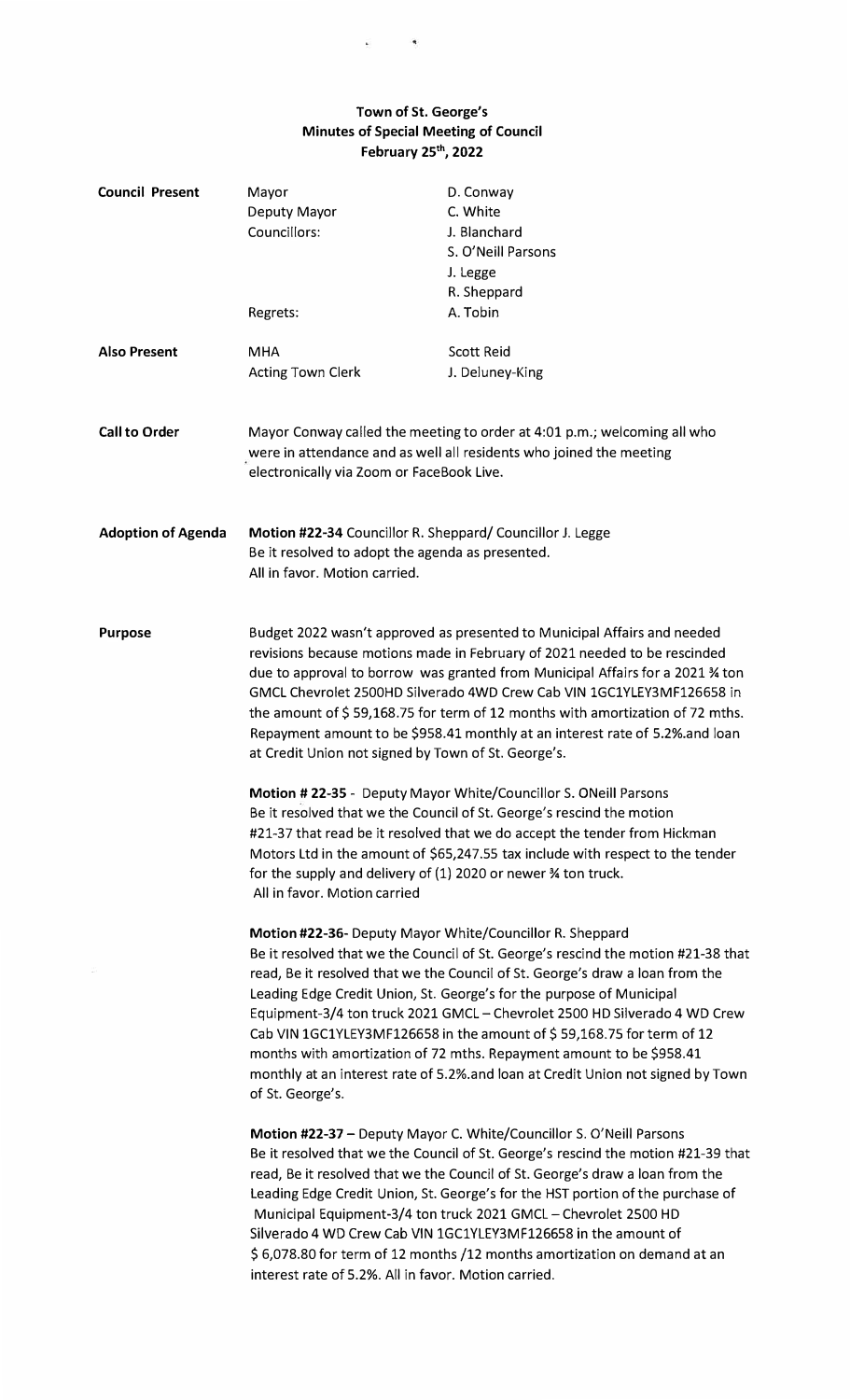## **Town of St. George's Minutes of Special Meeting of Council February 25'", 2022**

| <b>Council Present</b>    | Mayor<br>Deputy Mayor<br>Councillors:                                                                                                                                                                                                                                                                                                                                                                                                                                                                                                                                                                                                                                                                                                                                                                                                                                                                                                               | D. Conway<br>C. White<br>J. Blanchard<br>S. O'Neill Parsons<br>J. Legge<br>R. Sheppard |
|---------------------------|-----------------------------------------------------------------------------------------------------------------------------------------------------------------------------------------------------------------------------------------------------------------------------------------------------------------------------------------------------------------------------------------------------------------------------------------------------------------------------------------------------------------------------------------------------------------------------------------------------------------------------------------------------------------------------------------------------------------------------------------------------------------------------------------------------------------------------------------------------------------------------------------------------------------------------------------------------|----------------------------------------------------------------------------------------|
|                           | Regrets:                                                                                                                                                                                                                                                                                                                                                                                                                                                                                                                                                                                                                                                                                                                                                                                                                                                                                                                                            | A. Tobin                                                                               |
| <b>Also Present</b>       | <b>MHA</b><br>Acting Town Clerk                                                                                                                                                                                                                                                                                                                                                                                                                                                                                                                                                                                                                                                                                                                                                                                                                                                                                                                     | <b>Scott Reid</b><br>J. Deluney-King                                                   |
| <b>Call to Order</b>      | Mayor Conway called the meeting to order at 4:01 p.m.; welcoming all who<br>were in attendance and as well all residents who joined the meeting<br>electronically via Zoom or FaceBook Live.                                                                                                                                                                                                                                                                                                                                                                                                                                                                                                                                                                                                                                                                                                                                                        |                                                                                        |
| <b>Adoption of Agenda</b> | Motion #22-34 Councillor R. Sheppard/ Councillor J. Legge<br>Be it resolved to adopt the agenda as presented.<br>All in favor. Motion carried.                                                                                                                                                                                                                                                                                                                                                                                                                                                                                                                                                                                                                                                                                                                                                                                                      |                                                                                        |
| <b>Purpose</b>            | Budget 2022 wasn't approved as presented to Municipal Affairs and needed<br>revisions because motions made in February of 2021 needed to be rescinded<br>due to approval to borrow was granted from Municipal Affairs for a 2021 % ton<br>GMCL Chevrolet 2500HD Silverado 4WD Crew Cab VIN 1GC1YLEY3MF126658 in<br>the amount of \$59,168.75 for term of 12 months with amortization of 72 mths.<br>Repayment amount to be \$958.41 monthly at an interest rate of 5.2% and loan<br>at Credit Union not signed by Town of St. George's.<br>Motion #22-35 - Deputy Mayor White/Councillor S. ONeill Parsons<br>Be it resolved that we the Council of St. George's rescind the motion<br>#21-37 that read be it resolved that we do accept the tender from Hickman<br>Motors Ltd in the amount of \$65,247.55 tax include with respect to the tender<br>for the supply and delivery of (1) 2020 or newer % ton truck.<br>All in favor. Motion carried |                                                                                        |
|                           | Motion #22-36- Deputy Mayor White/Councillor R. Sheppard<br>Be it resolved that we the Council of St. George's rescind the motion #21-38 that<br>read, Be it resolved that we the Council of St. George's draw a loan from the<br>Leading Edge Credit Union, St. George's for the purpose of Municipal<br>Equipment-3/4 ton truck 2021 GMCL - Chevrolet 2500 HD Silverado 4 WD Crew<br>Cab VIN 1GC1YLEY3MF126658 in the amount of $$59,168.75$ for term of 12<br>months with amortization of 72 mths. Repayment amount to be \$958.41<br>monthly at an interest rate of 5.2%.and loan at Credit Union not signed by Town<br>of St. George's.                                                                                                                                                                                                                                                                                                        |                                                                                        |
|                           | Motion #22-37 - Deputy Mayor C. White/Councillor S. O'Neill Parsons<br>Be it resolved that we the Council of St. George's rescind the motion #21-39 that<br>read, Be it resolved that we the Council of St. George's draw a loan from the<br>Leading Edge Credit Union, St. George's for the HST portion of the purchase of<br>Municipal Equipment-3/4 ton truck 2021 GMCL - Chevrolet 2500 HD<br>Silverado 4 WD Crew Cab VIN 1GC1YLEY3MF126658 in the amount of<br>\$6,078.80 for term of 12 months /12 months amortization on demand at an<br>interest rate of 5.2%. All in favor. Motion carried.                                                                                                                                                                                                                                                                                                                                                |                                                                                        |